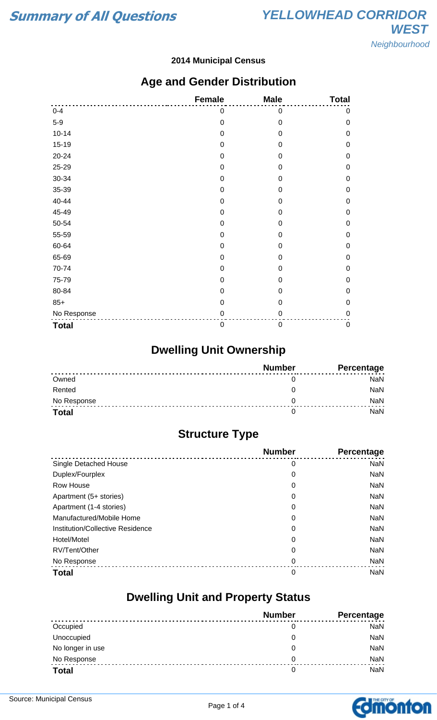#### **2014 Municipal Census**

### **Age and Gender Distribution**

|              | <b>Female</b>    | <b>Male</b>      | <b>Total</b> |
|--------------|------------------|------------------|--------------|
| $0 - 4$      | 0                | 0                | 0            |
| $5-9$        | $\mathbf 0$      | $\mathbf 0$      | $\mathbf 0$  |
| $10 - 14$    | $\mathbf 0$      | $\boldsymbol{0}$ | $\mathbf 0$  |
| $15 - 19$    | $\mathbf 0$      | 0                | $\mathbf 0$  |
| 20-24        | $\mathbf 0$      | 0                | $\mathbf 0$  |
| 25-29        | $\mathbf 0$      | 0                | $\mathbf 0$  |
| 30-34        | $\mathbf 0$      | 0                | $\mathbf 0$  |
| 35-39        | $\boldsymbol{0}$ | 0                | $\mathbf 0$  |
| 40-44        | $\mathbf 0$      | $\mathbf 0$      | $\mathbf 0$  |
| 45-49        | 0                | 0                | $\mathbf 0$  |
| 50-54        | $\mathbf 0$      | 0                | $\mathbf 0$  |
| 55-59        | $\mathbf 0$      | 0                | $\mathbf 0$  |
| 60-64        | $\mathbf 0$      | 0                | $\mathbf 0$  |
| 65-69        | $\mathbf 0$      | $\mathbf 0$      | $\mathbf 0$  |
| 70-74        | $\boldsymbol{0}$ | 0                | $\mathbf 0$  |
| 75-79        | $\mathbf 0$      | $\mathbf 0$      | $\mathbf 0$  |
| 80-84        | 0                | 0                | $\mathbf 0$  |
| $85+$        | $\mathbf 0$      | $\mathbf 0$      | $\mathbf 0$  |
| No Response  | $\pmb{0}$        | 0                | $\mathbf 0$  |
| <b>Total</b> | $\boldsymbol{0}$ | 0                | $\pmb{0}$    |

# **Dwelling Unit Ownership**

|              | <b>Number</b> | Percentage |
|--------------|---------------|------------|
| Owned        |               | NaN        |
| Rented       |               | <b>NaN</b> |
| No Response  |               | NaN        |
| <b>Total</b> |               | NaN        |

## **Structure Type**

|                                  | <b>Number</b> | Percentage |
|----------------------------------|---------------|------------|
| Single Detached House            | 0             | <b>NaN</b> |
| Duplex/Fourplex                  | 0             | <b>NaN</b> |
| Row House                        | 0             | <b>NaN</b> |
| Apartment (5+ stories)           | 0             | <b>NaN</b> |
| Apartment (1-4 stories)          | 0             | <b>NaN</b> |
| Manufactured/Mobile Home         | 0             | <b>NaN</b> |
| Institution/Collective Residence | 0             | <b>NaN</b> |
| Hotel/Motel                      | 0             | <b>NaN</b> |
| RV/Tent/Other                    | 0             | <b>NaN</b> |
| No Response                      | 0             | <b>NaN</b> |
| <b>Total</b>                     | 0             | <b>NaN</b> |

### **Dwelling Unit and Property Status**

|                  | <b>Number</b> | <b>Percentage</b> |
|------------------|---------------|-------------------|
| Occupied         | 0             | <b>NaN</b>        |
| Unoccupied       | 0             | NaN               |
| No longer in use | 0             | NaN               |
| No Response      | 0             | <b>NaN</b>        |
| <b>Total</b>     | 0             | <b>NaN</b>        |

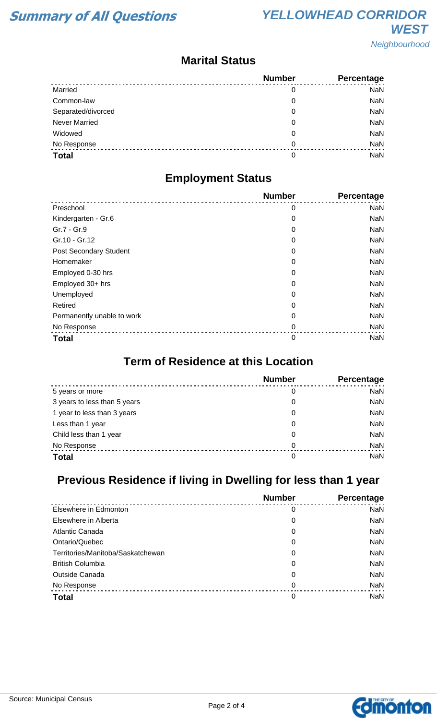### **Marital Status**

|                      | <b>Number</b> | Percentage |
|----------------------|---------------|------------|
| Married              | 0             | <b>NaN</b> |
| Common-law           | 0             | <b>NaN</b> |
| Separated/divorced   | 0             | <b>NaN</b> |
| <b>Never Married</b> | 0             | <b>NaN</b> |
| Widowed              | 0             | <b>NaN</b> |
| No Response          | 0             | <b>NaN</b> |
| <b>Total</b>         | 0             | <b>NaN</b> |

### **Employment Status**

|                            | <b>Number</b> | Percentage |
|----------------------------|---------------|------------|
| Preschool                  | 0             | <b>NaN</b> |
| Kindergarten - Gr.6        | 0             | <b>NaN</b> |
| Gr.7 - Gr.9                | 0             | <b>NaN</b> |
| Gr.10 - Gr.12              | 0             | <b>NaN</b> |
| Post Secondary Student     | 0             | <b>NaN</b> |
| Homemaker                  | 0             | <b>NaN</b> |
| Employed 0-30 hrs          | 0             | <b>NaN</b> |
| Employed 30+ hrs           | 0             | <b>NaN</b> |
| Unemployed                 | 0             | <b>NaN</b> |
| Retired                    | 0             | <b>NaN</b> |
| Permanently unable to work | 0             | <b>NaN</b> |
| No Response                | 0             | <b>NaN</b> |
| <b>Total</b>               | $\mathbf 0$   | <b>NaN</b> |

### **Term of Residence at this Location**

|                              | <b>Number</b> | Percentage |
|------------------------------|---------------|------------|
| 5 years or more              | 0             | <b>NaN</b> |
| 3 years to less than 5 years | 0             | <b>NaN</b> |
| 1 year to less than 3 years  | 0             | <b>NaN</b> |
| Less than 1 year             | 0             | <b>NaN</b> |
| Child less than 1 year       | 0             | <b>NaN</b> |
| No Response                  | 0             | <b>NaN</b> |
| <b>Total</b>                 | 0             | <b>NaN</b> |

# **Previous Residence if living in Dwelling for less than 1 year**

|                                   | <b>Number</b> | Percentage |
|-----------------------------------|---------------|------------|
| Elsewhere in Edmonton             | 0             | <b>NaN</b> |
| Elsewhere in Alberta              | 0             | NaN        |
| Atlantic Canada                   | 0             | <b>NaN</b> |
| Ontario/Quebec                    | 0             | NaN        |
| Territories/Manitoba/Saskatchewan | 0             | NaN        |
| <b>British Columbia</b>           | 0             | NaN        |
| Outside Canada                    | 0             | <b>NaN</b> |
| No Response                       | 0             | NaN        |
| <b>Total</b>                      | 0             | <b>NaN</b> |

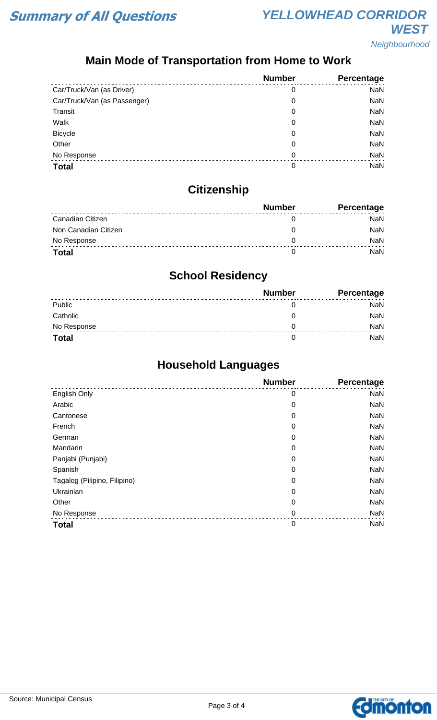# **Main Mode of Transportation from Home to Work**

|                              | <b>Number</b> | Percentage |
|------------------------------|---------------|------------|
| Car/Truck/Van (as Driver)    | 0             | <b>NaN</b> |
| Car/Truck/Van (as Passenger) | 0             | <b>NaN</b> |
| Transit                      | 0             | <b>NaN</b> |
| Walk                         | 0             | <b>NaN</b> |
| <b>Bicycle</b>               | 0             | <b>NaN</b> |
| Other                        | 0             | <b>NaN</b> |
| No Response                  | 0             | <b>NaN</b> |
| <b>Total</b>                 | 0             | NaN        |

# **Citizenship**

|                      | <b>Number</b> | <b>Percentage</b> |
|----------------------|---------------|-------------------|
| Canadian Citizen     |               | NaN               |
| Non Canadian Citizen |               | <b>NaN</b>        |
| No Response          |               | <b>NaN</b>        |
| <b>Total</b>         |               | NaN               |

# **School Residency**

|              | <b>Number</b> | <b>Percentage</b> |
|--------------|---------------|-------------------|
| Public       |               | NaN               |
| Catholic     |               | NaN               |
| No Response  |               | NaN               |
| <b>Total</b> |               | NaN               |

## **Household Languages**

|                              | <b>Number</b> | <b>Percentage</b> |
|------------------------------|---------------|-------------------|
| English Only                 | 0             | <b>NaN</b>        |
| Arabic                       | 0             | <b>NaN</b>        |
| Cantonese                    | 0             | <b>NaN</b>        |
| French                       | 0             | <b>NaN</b>        |
| German                       | 0             | <b>NaN</b>        |
| Mandarin                     | 0             | <b>NaN</b>        |
| Panjabi (Punjabi)            | 0             | <b>NaN</b>        |
| Spanish                      | 0             | <b>NaN</b>        |
| Tagalog (Pilipino, Filipino) | 0             | <b>NaN</b>        |
| Ukrainian                    | 0             | <b>NaN</b>        |
| Other                        | 0             | <b>NaN</b>        |
| No Response                  | $\mathbf 0$   | <b>NaN</b>        |
| <b>Total</b>                 | $\mathbf 0$   | <b>NaN</b>        |